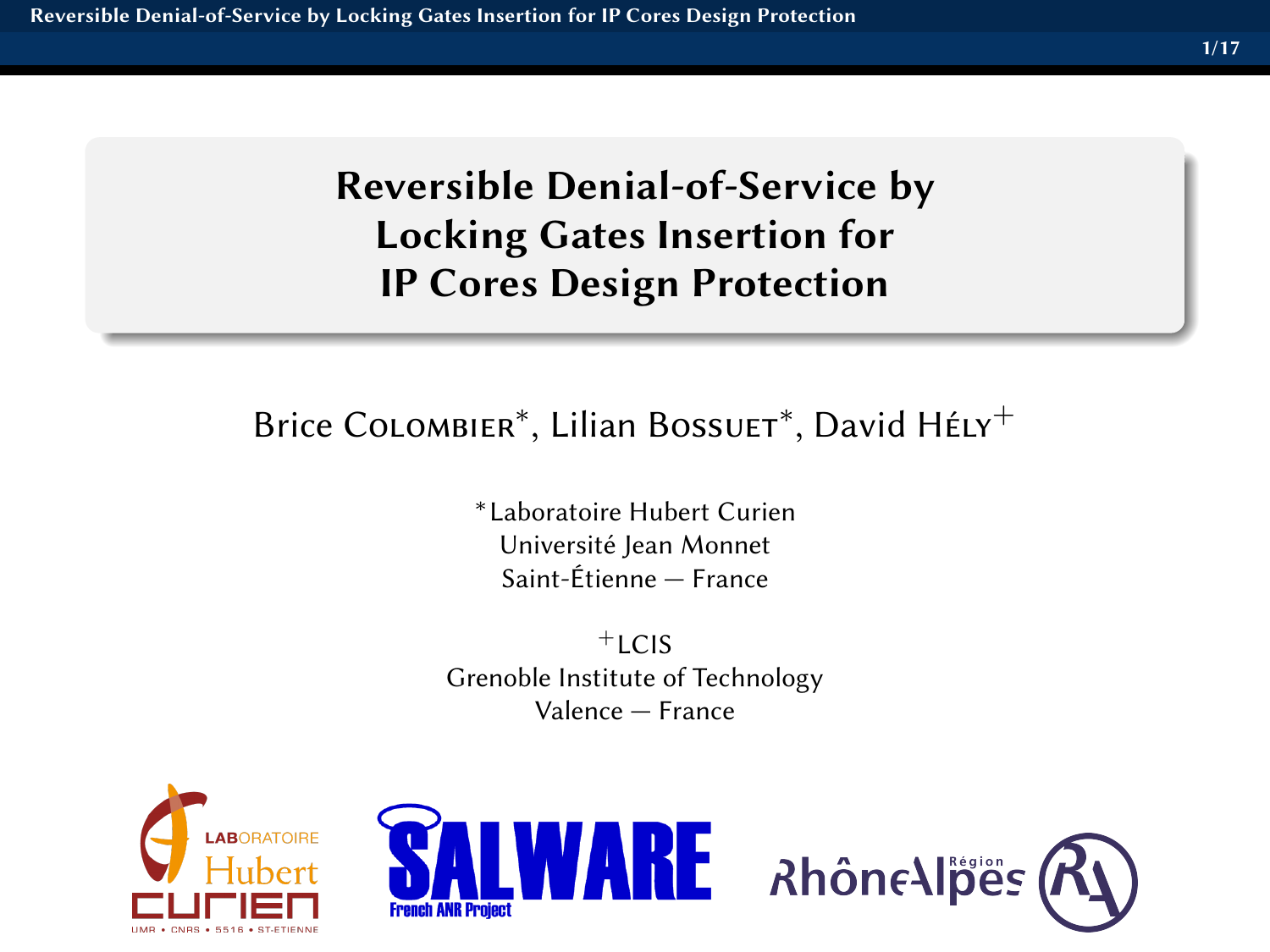# <span id="page-0-0"></span>Reversible Denial-of-Service by Locking Gates Insertion for IP Cores Design Protection

# Brice CoLombier<sup>\*</sup>, Lilian Bossuer<sup>\*</sup>, David Hély<sup>+</sup>

∗Laboratoire Hubert Curien Université Jean Monnet Saint-Étienne — France

 $+$ LCIS Grenoble Institute of Technology Valence — France





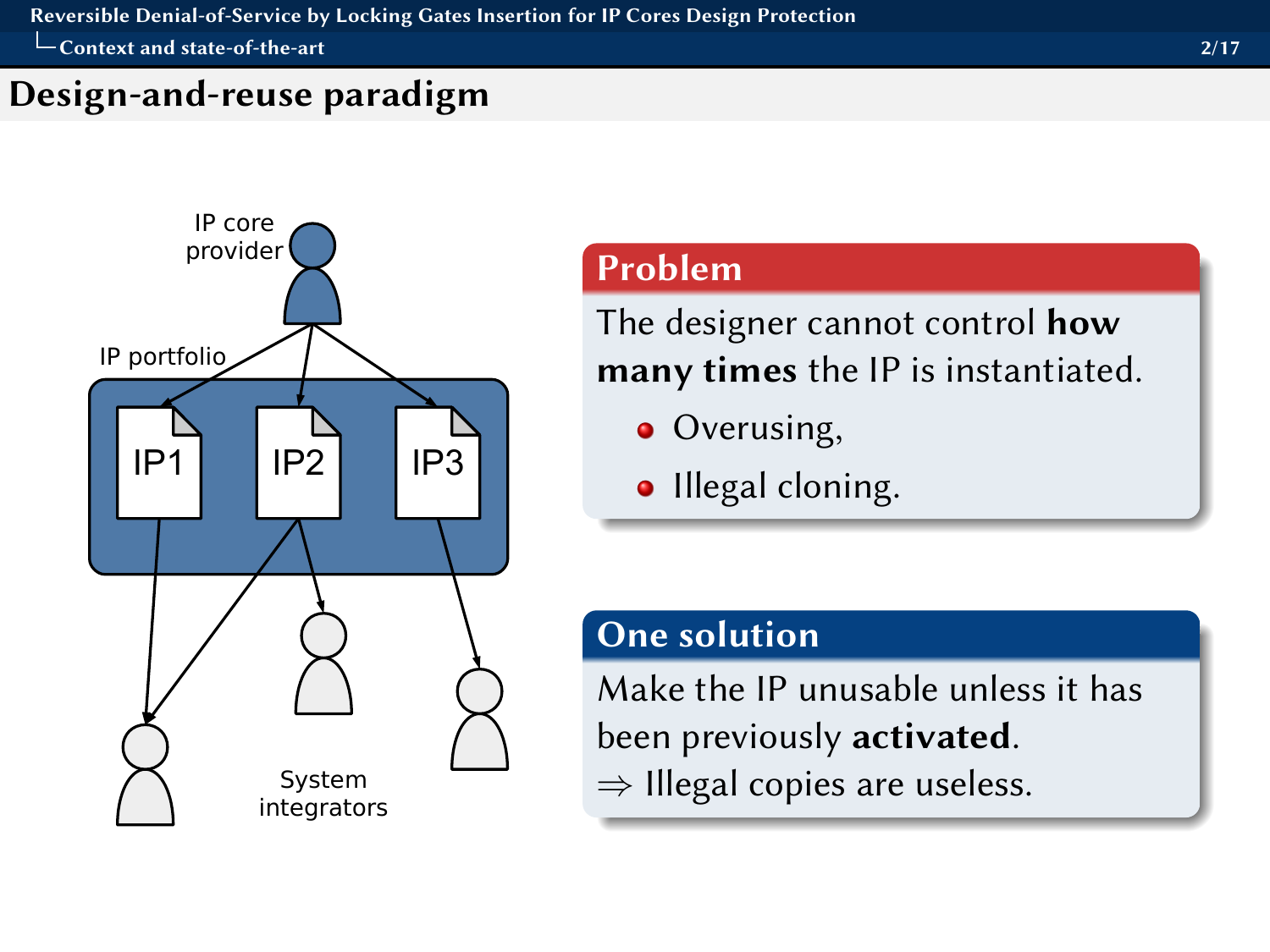<span id="page-1-0"></span> $\Box$  [Context and state-of-the-art](#page-1-0)  $\overline{\phantom{a}}$ 

## Design-and-reuse paradigm



## Problem

The designer cannot control **how** many times the IP is instantiated.

- Overusing,
- Illegal cloning.

#### One solution

Make the IP unusable unless it has been previously activated.  $\Rightarrow$  Illegal copies are useless.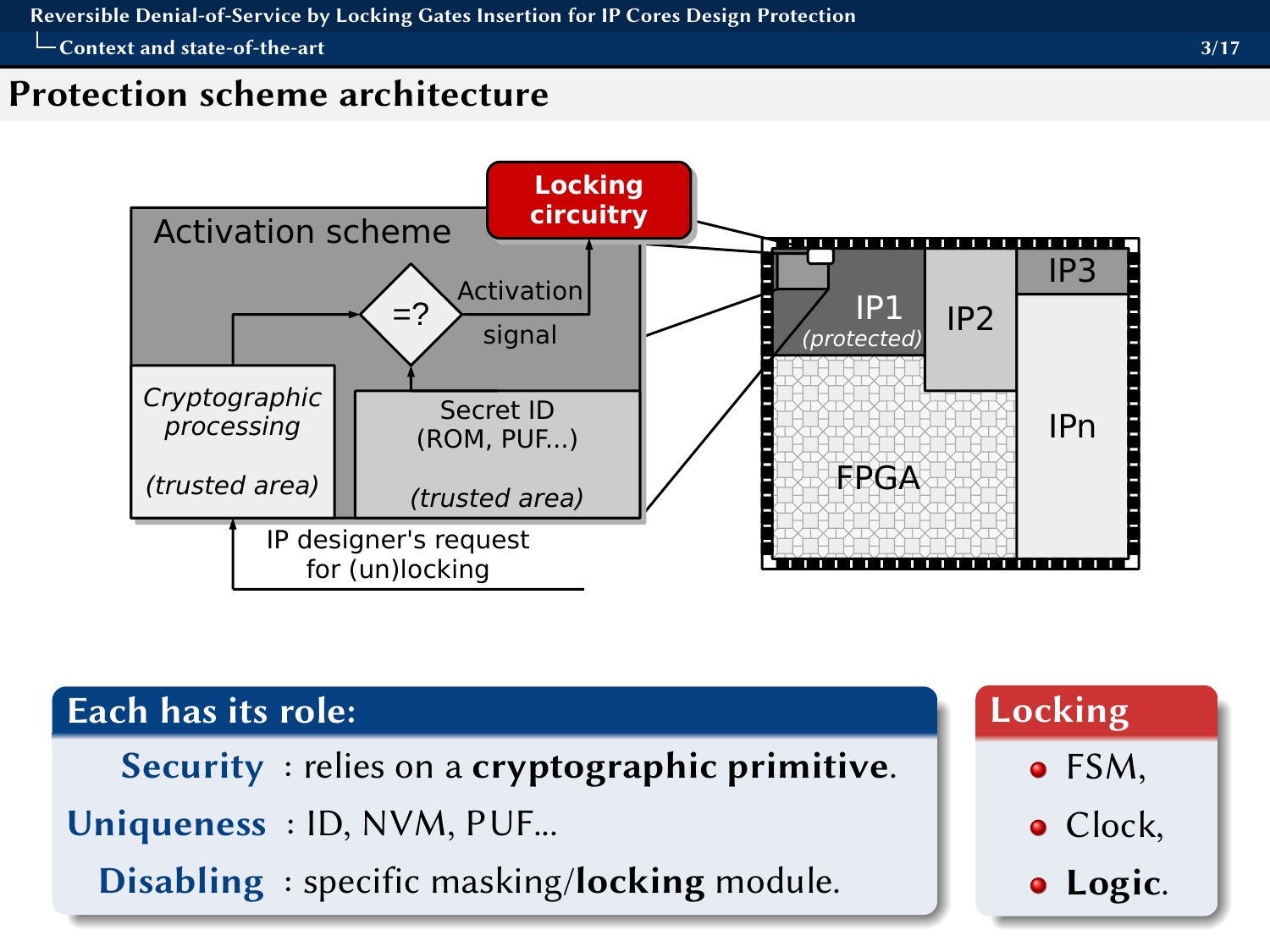<span id="page-2-0"></span>[Reversible Denial-of-Service by Locking Gates Insertion for IP Cores Design Protection](#page-0-0)

[Context and state-of-the-art](#page-2-0) 3/17

#### Protection scheme architecture



| Each has its role:                                     | Locking          |
|--------------------------------------------------------|------------------|
| <b>Security</b> : relies on a cryptographic primitive. | $\bullet$ FSM,   |
| Uniqueness : ID, NVM, PUF                              | $\bullet$ Clock, |
| Disabling: specific masking/locking module.            | · Logic.         |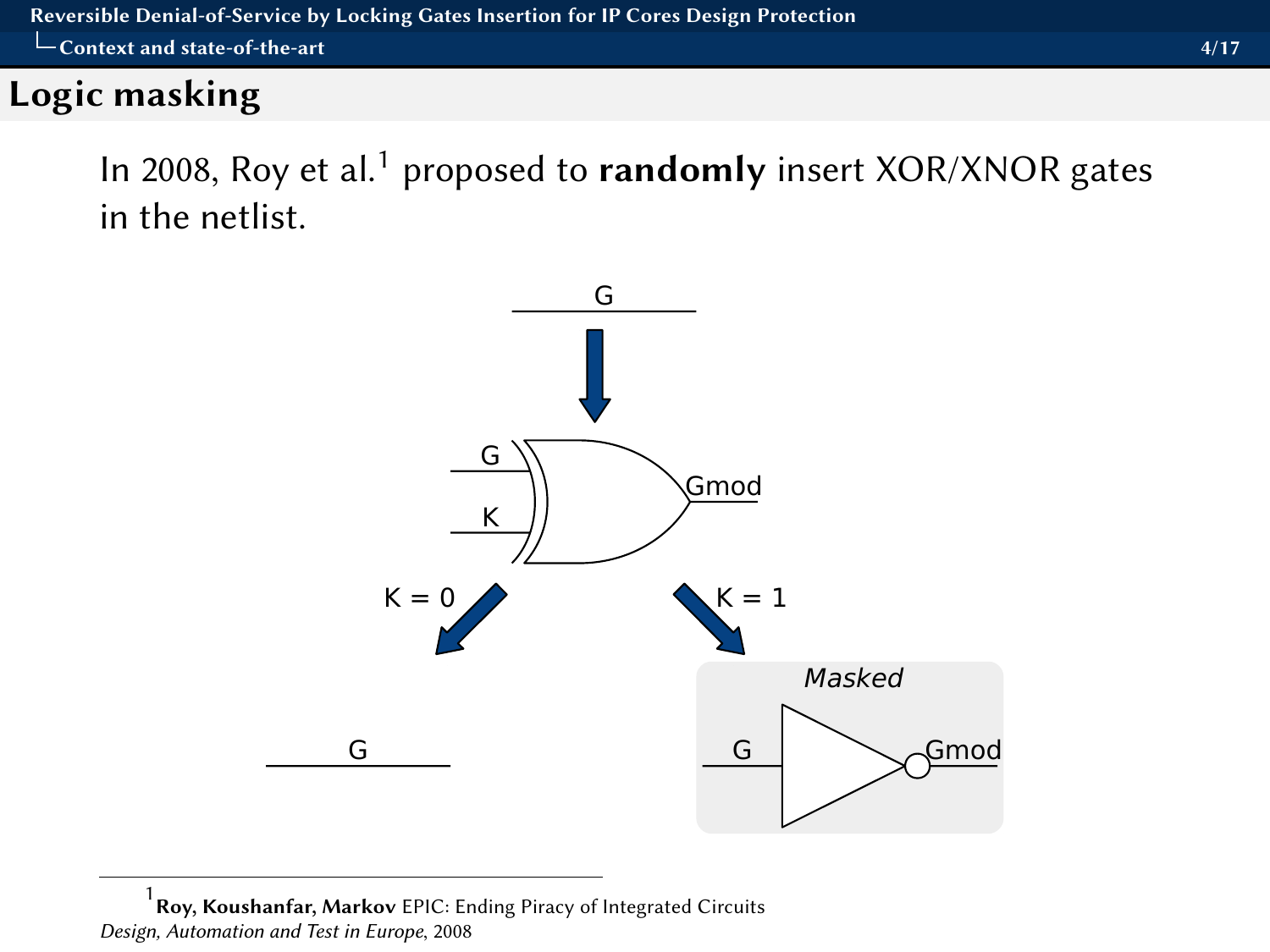## <span id="page-3-0"></span>Logic masking

In 2008, Roy et al.<sup>1</sup> proposed to **randomly** insert XOR/XNOR gates in the netlist.



1 Roy, Koushanfar, Markov EPIC: Ending Piracy of Integrated Circuits Design, Automation and Test in Europe, 2008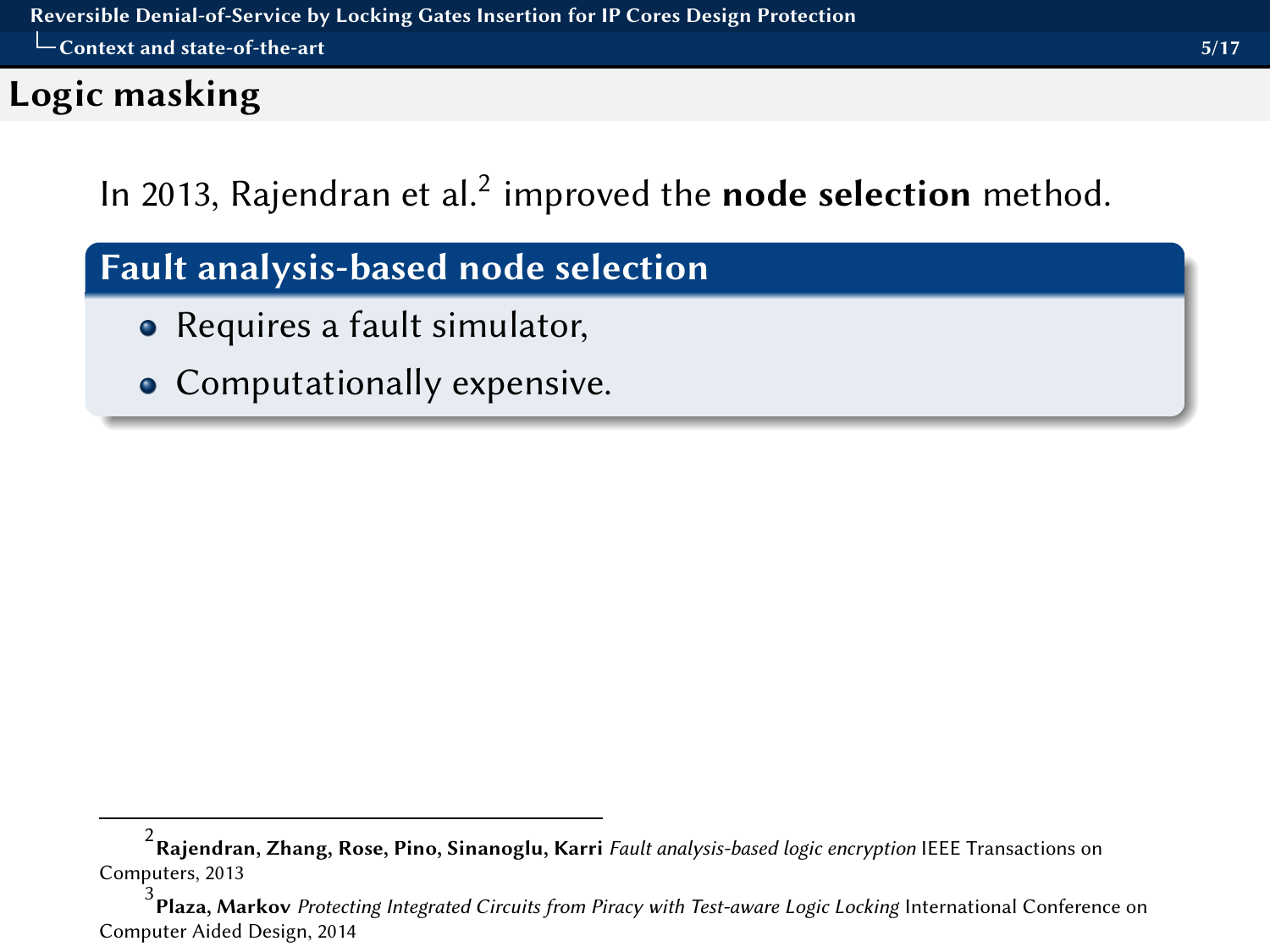## <span id="page-4-0"></span>Logic masking

In 2013, Rajendran et al. $^2$  improved the **node selection** method.

## Fault analysis-based node selection

- Requires a fault simulator,
- Computationally expensive.

 $^2$ Rajendran, Zhang, Rose, Pino, Sinanoglu, Karri *Fault analysis-based logic encryption* IEEE Transactions on Computers, 2013

<sup>3</sup>  $^5$  Plaza, Markov *Protecting Integrated Circuits from Piracy with Test-aware Logic Locking International Conference on* Computer Aided Design, 2014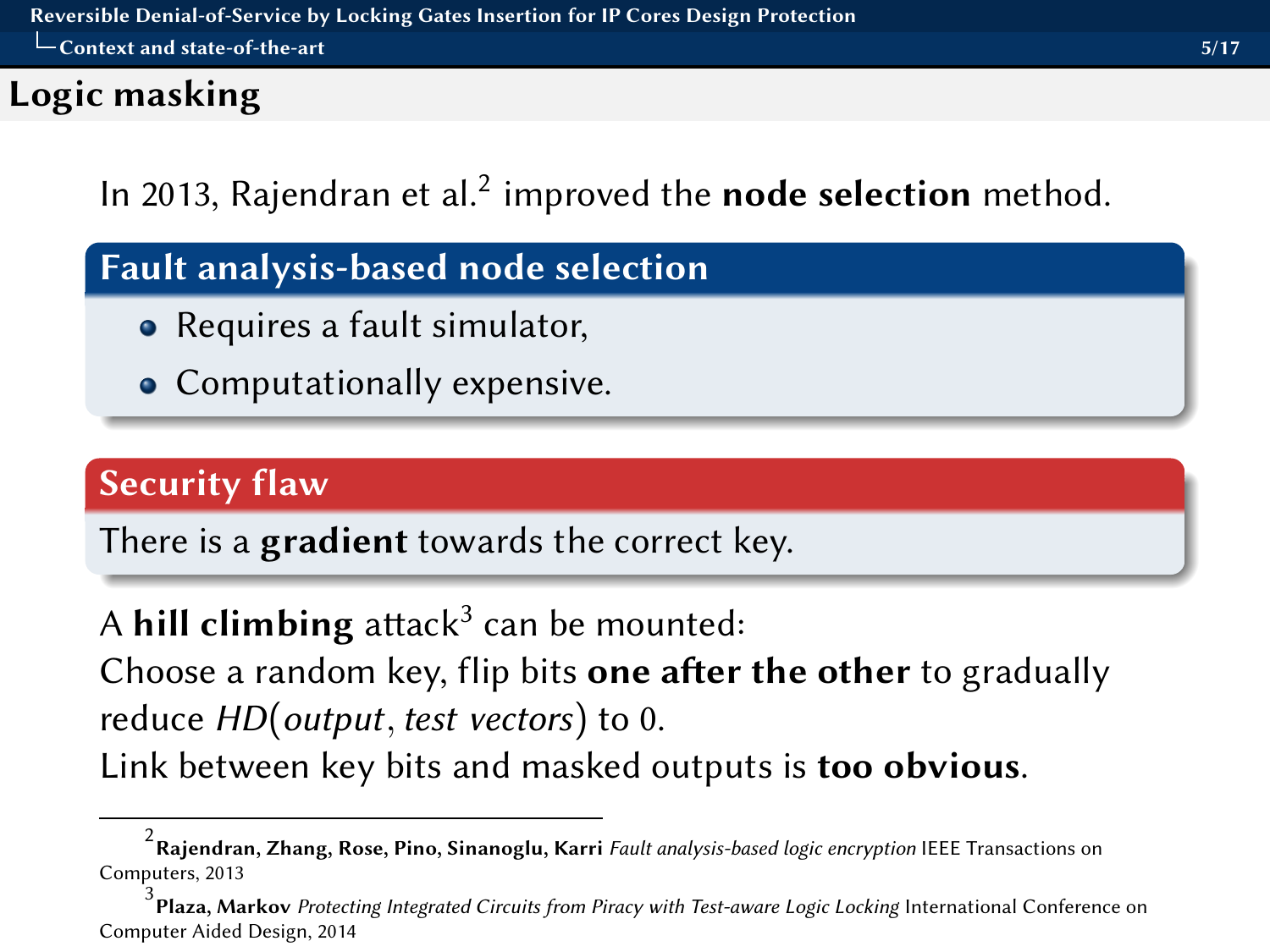## <span id="page-5-0"></span>Logic masking

In 2013, Rajendran et al. $^2$  improved the **node selection** method.

## Fault analysis-based node selection

- Requires a fault simulator,
- Computationally expensive.

## Security flaw

There is a **gradient** towards the correct key.

# A **hill climbing** attack $^3$  can be mounted:

Choose a random key, flip bits one after the other to gradually reduce HD(output, test vectors) to 0.

Link between key bits and masked outputs is **too obvious**.

 $^2$ Rajendran, Zhang, Rose, Pino, Sinanoglu, Karri *Fault analysis-based logic encryption* IEEE Transactions on Computers, 2013

<sup>3</sup> Plaza, Markov Protecting Integrated Circuits from Piracy with Test-aware Logic Locking International Conference on Computer Aided Design, 2014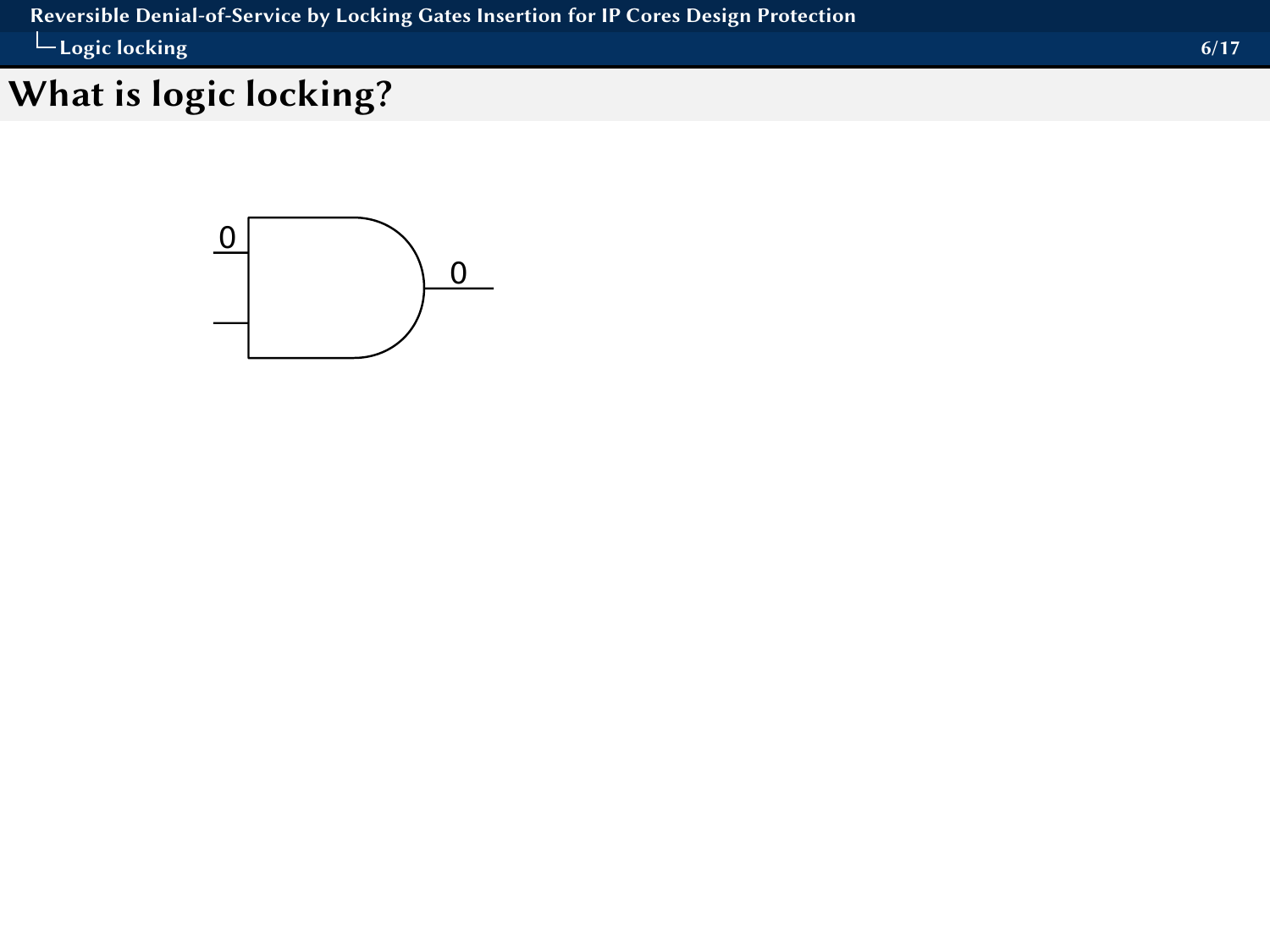<span id="page-6-0"></span>[Reversible Denial-of-Service by Locking Gates Insertion for IP Cores Design Protection](#page-0-0) [Logic locking](#page-6-0) 6/17

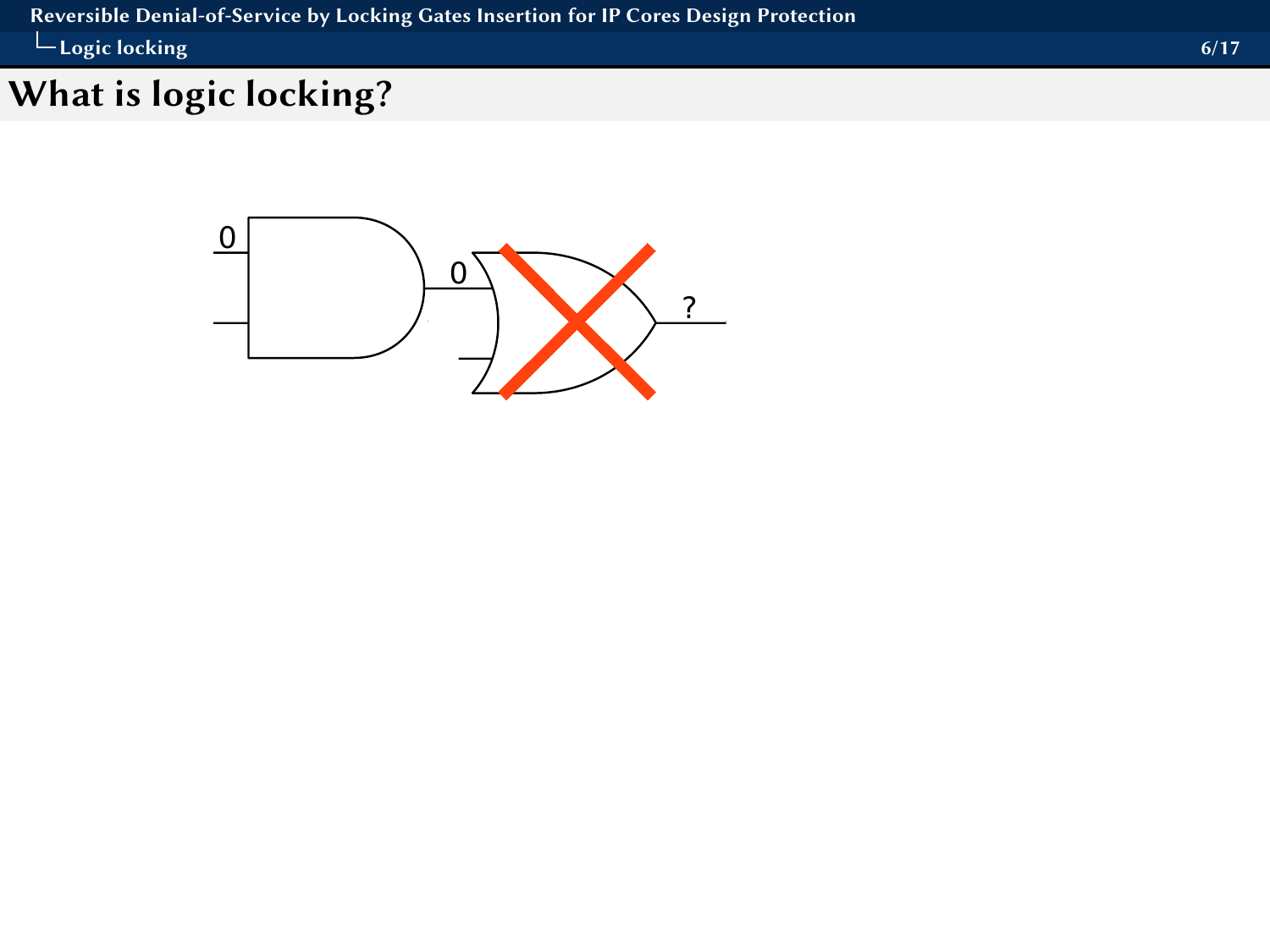<span id="page-7-0"></span>[Reversible Denial-of-Service by Locking Gates Insertion for IP Cores Design Protection](#page-0-0) [Logic locking](#page-7-0) 6/17

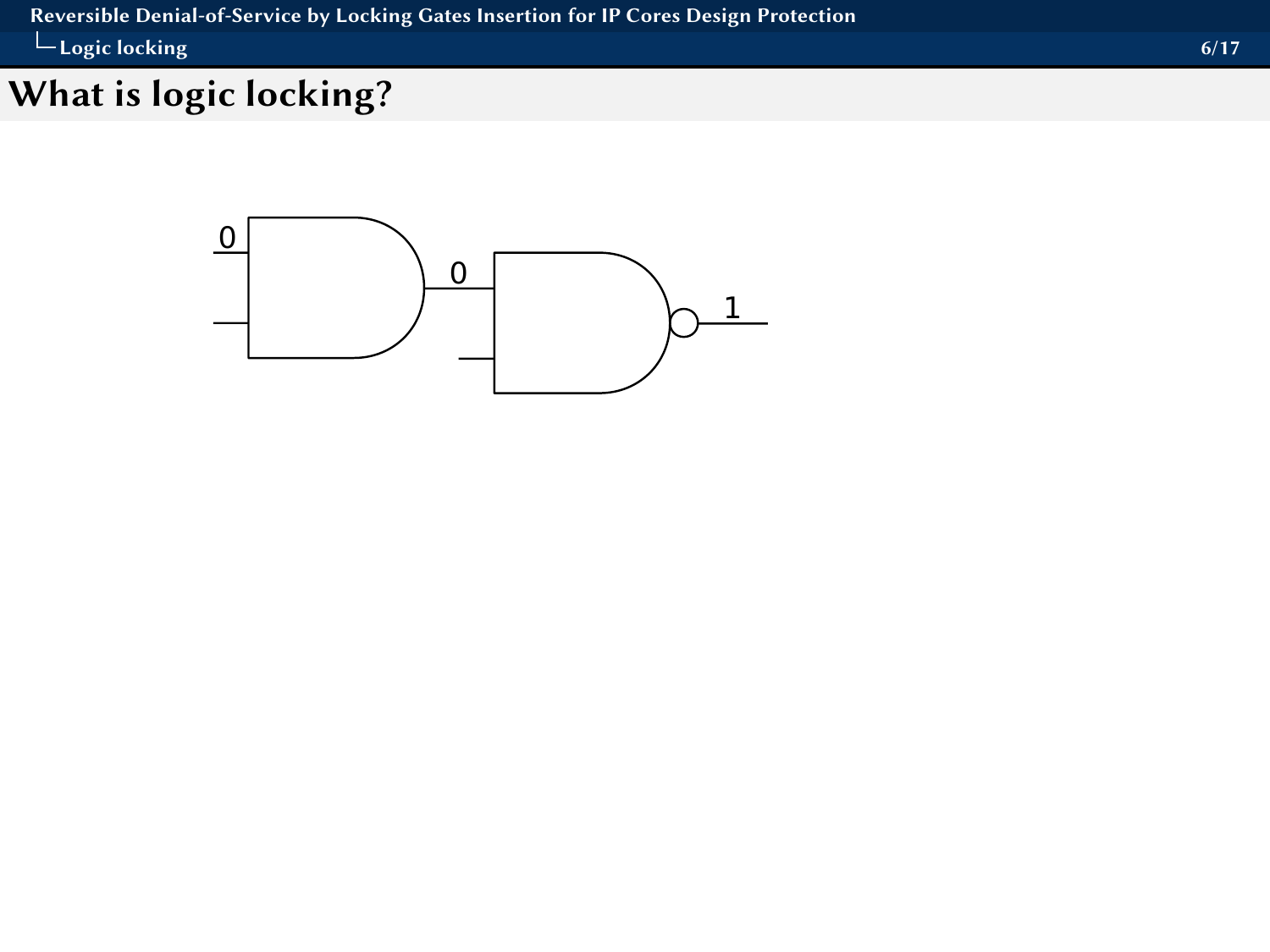<span id="page-8-0"></span>[Reversible Denial-of-Service by Locking Gates Insertion for IP Cores Design Protection](#page-0-0) [Logic locking](#page-8-0) and the contract of the contract of the contract of the contract of the contract of the contract of the contract of the contract of the contract of the contract of the contract of the contract of the contract

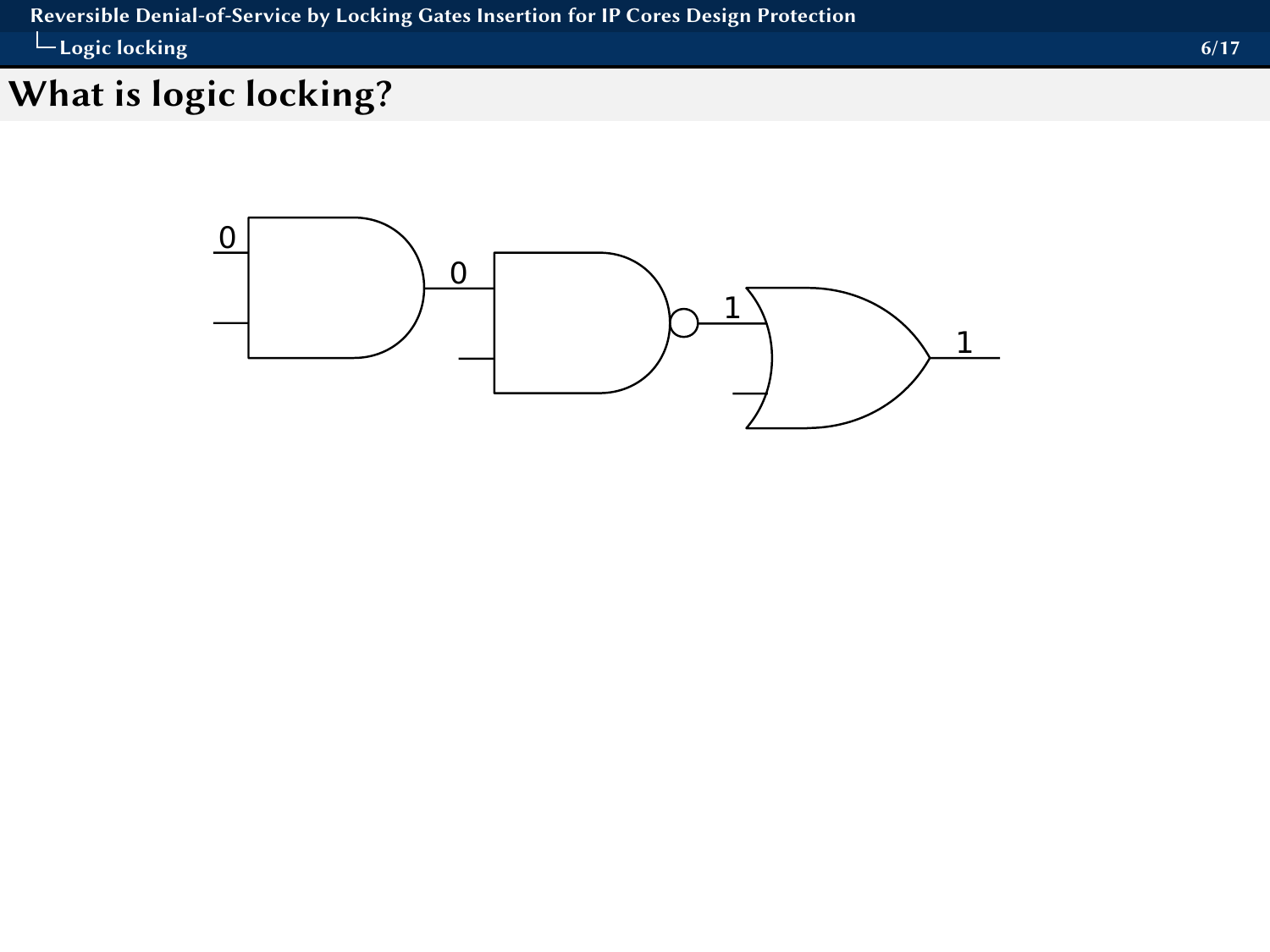#### <span id="page-9-0"></span>[Reversible Denial-of-Service by Locking Gates Insertion for IP Cores Design Protection](#page-0-0) [Logic locking](#page-9-0) and the contract of the contract of the contract of the contract of the contract of the contract of the contract of the contract of the contract of the contract of the contract of the contract of the contract

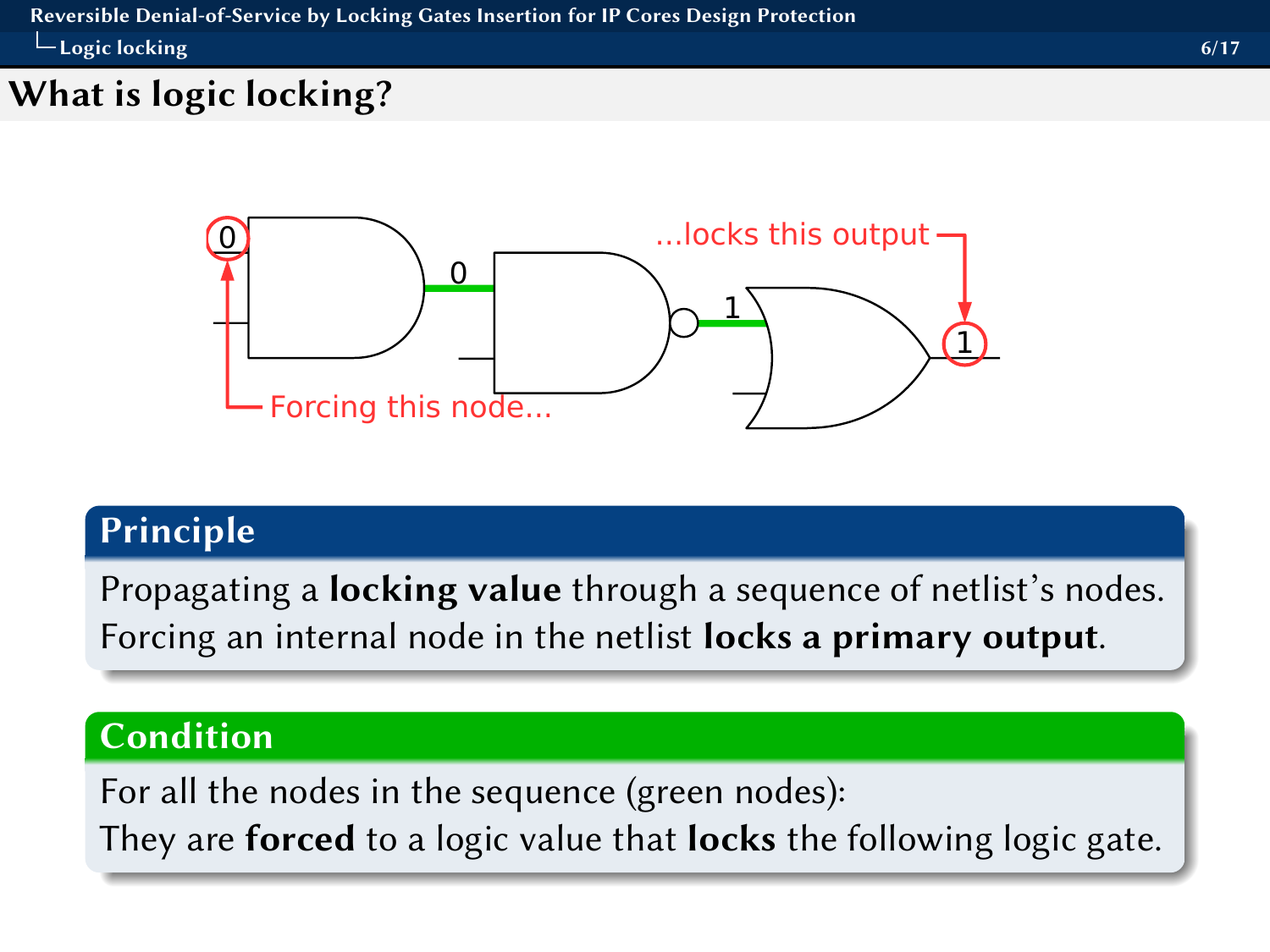## <span id="page-10-0"></span>What is logic locking?



## Principle

Propagating a **locking value** through a sequence of netlist's nodes. Forcing an internal node in the netlist locks a primary output.

## Condition

For all the nodes in the sequence (green nodes): They are forced to a logic value that locks the following logic gate.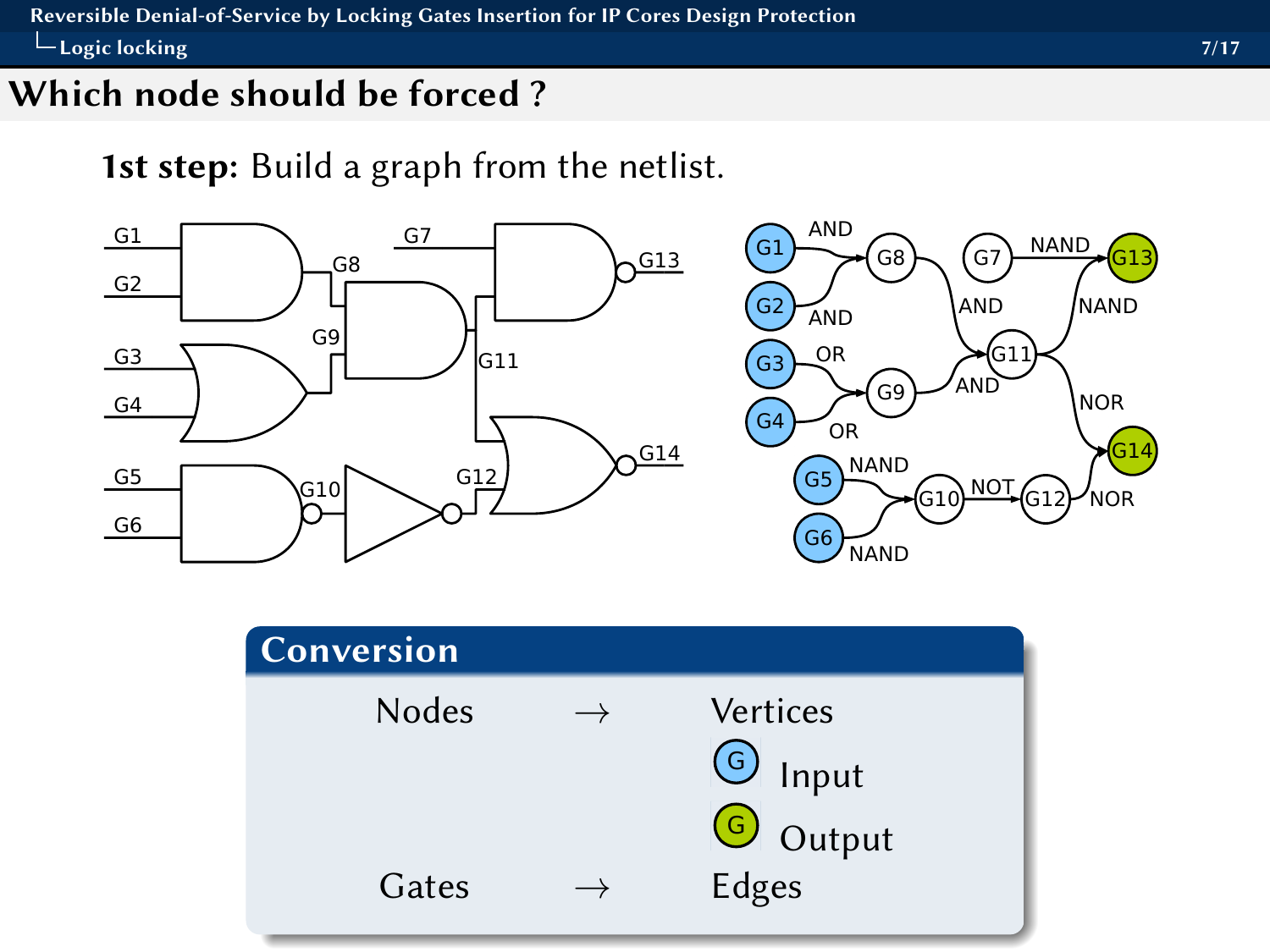#### <span id="page-11-0"></span>Which node should be forced ?

1st step: Build a graph from the netlist.



| Conversion |                                                 |
|------------|-------------------------------------------------|
| Nodes      | Vertices<br>$\bigodot$ Input<br><b>G</b> Output |
| Gates      | Edges                                           |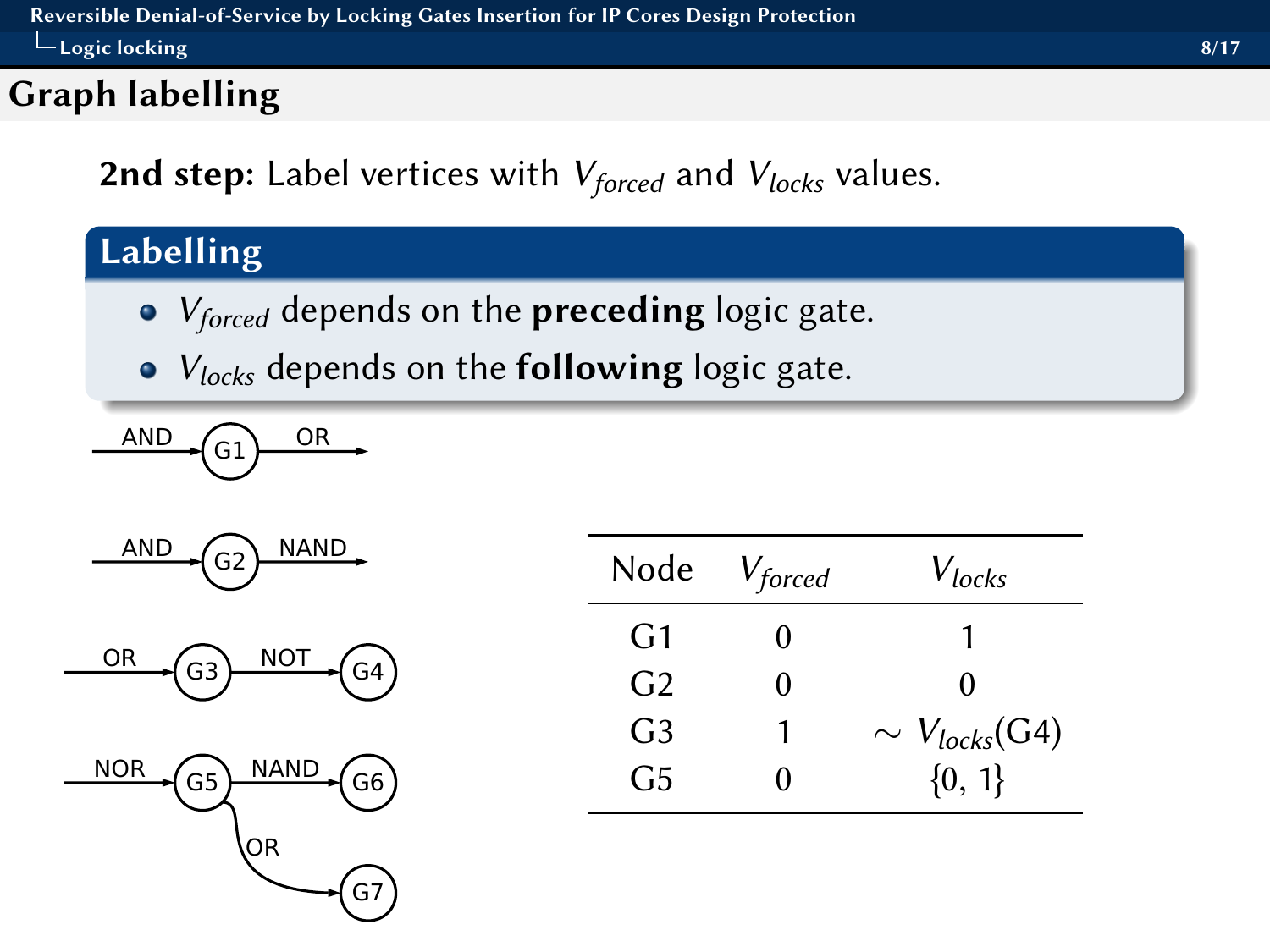## <span id="page-12-0"></span>Graph labelling

2nd step: Label vertices with  $V_{forced}$  and  $V_{locks}$  values.

# Labelling

- $\bullet$   $V_{forced}$  depends on the **preceding** logic gate.
- $\bullet$   $V_{locks}$  depends on the **following** logic gate.

$$
\xrightarrow{\text{AND}} G1 \xrightarrow{\text{OR}}
$$

$$
\xrightarrow{\text{AND}} \text{G2} \xrightarrow{\text{NAND}}
$$

$$
\xrightarrow{\qquad \text{OR} \qquad \qquad } \text{G3} \xrightarrow{\qquad \text{NOT} \qquad \qquad } \text{G4}
$$



| Node           | $V_{forced}$ | $V_{locks}$          |
|----------------|--------------|----------------------|
| G1             | 0            |                      |
| G <sub>2</sub> | 0            | 0                    |
| G <sub>3</sub> | 1            | $\sim V_{locks}(G4)$ |
| G <sub>5</sub> | 0            | ${0, 1}$             |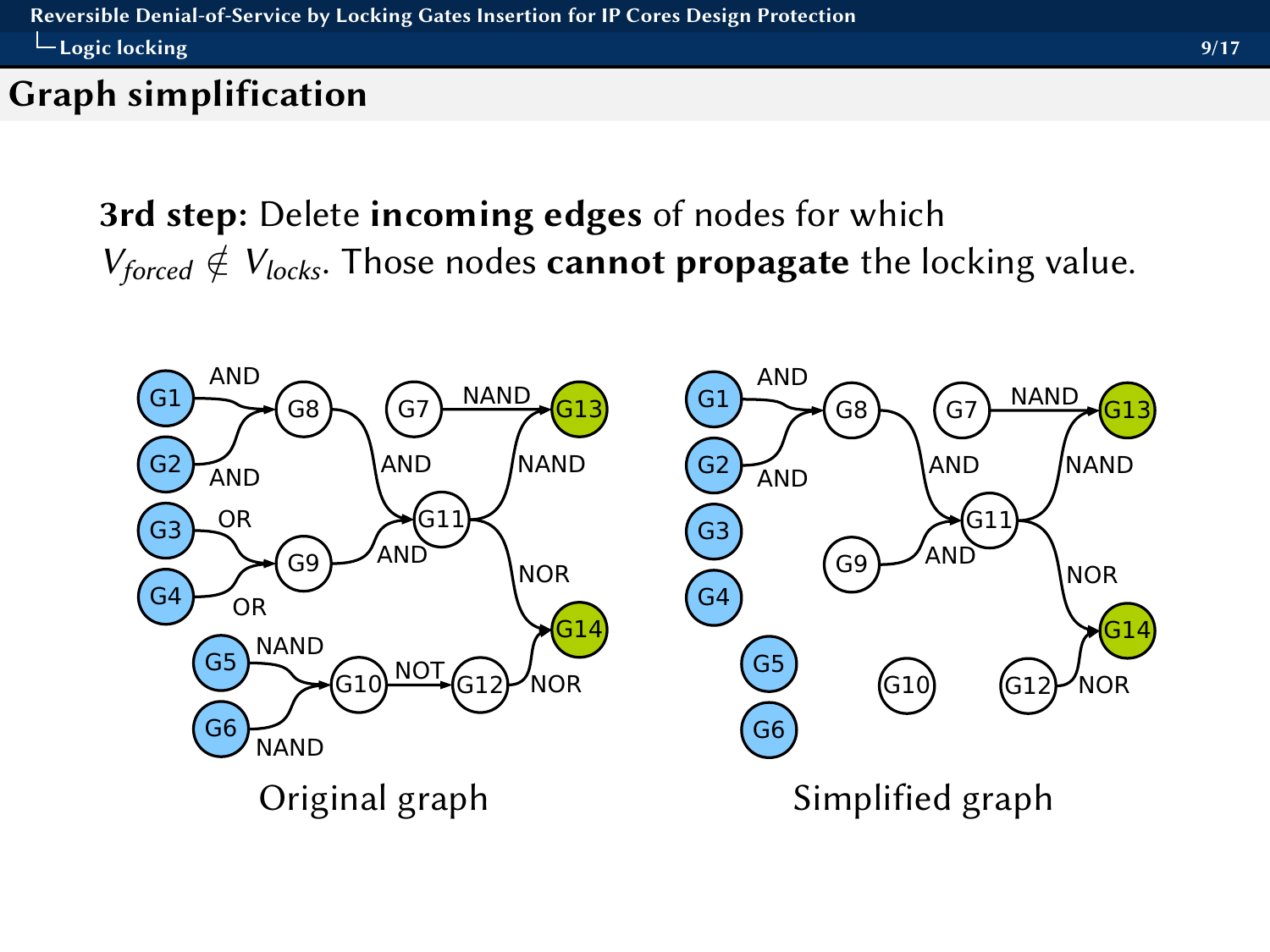## <span id="page-13-0"></span>Graph simplification

3rd step: Delete incoming edges of nodes for which  $V_{forced} \notin V_{locks}$ . Those nodes cannot propagate the locking value.

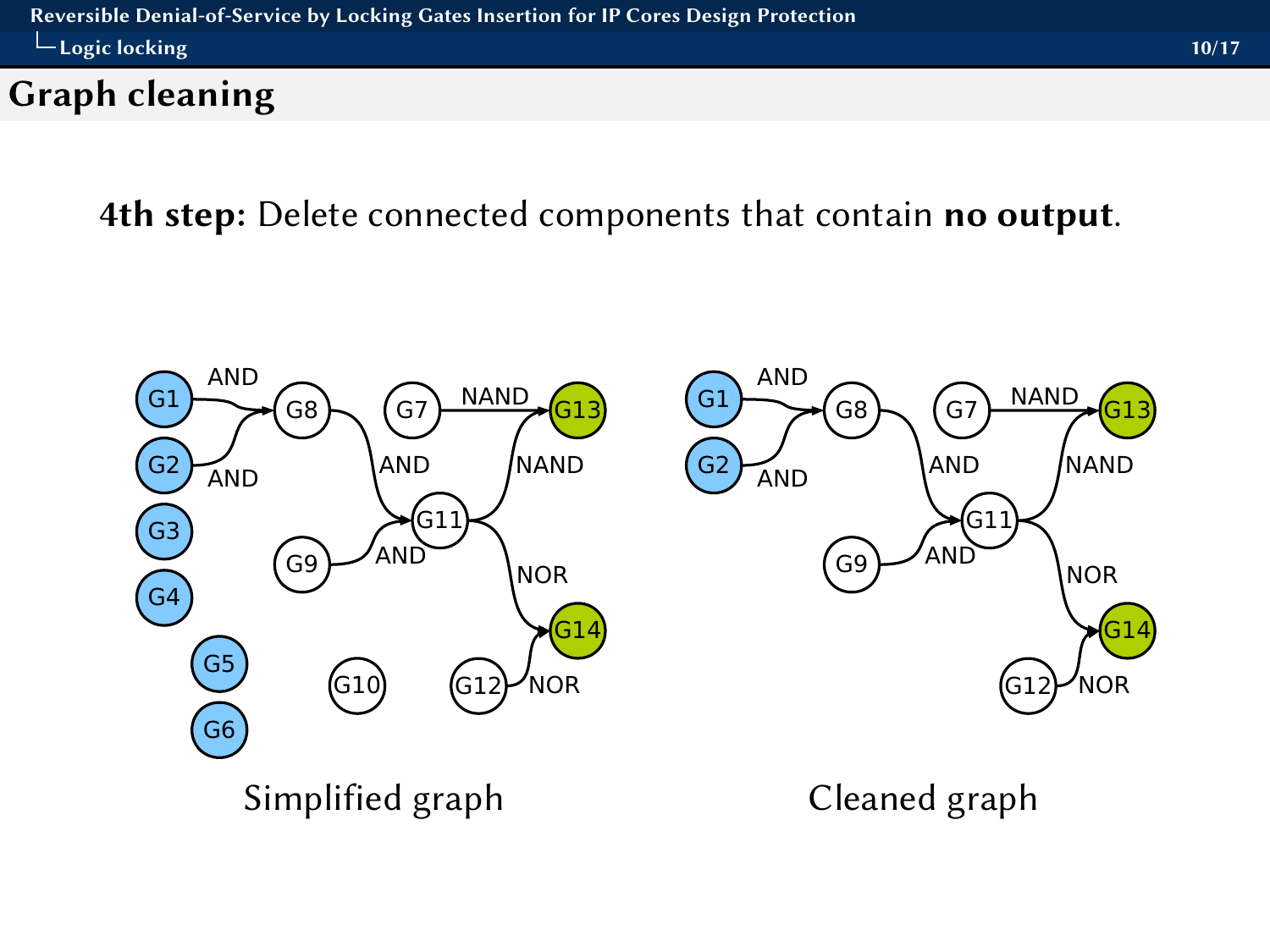## <span id="page-14-0"></span>Graph cleaning

4th step: Delete connected components that contain no output.

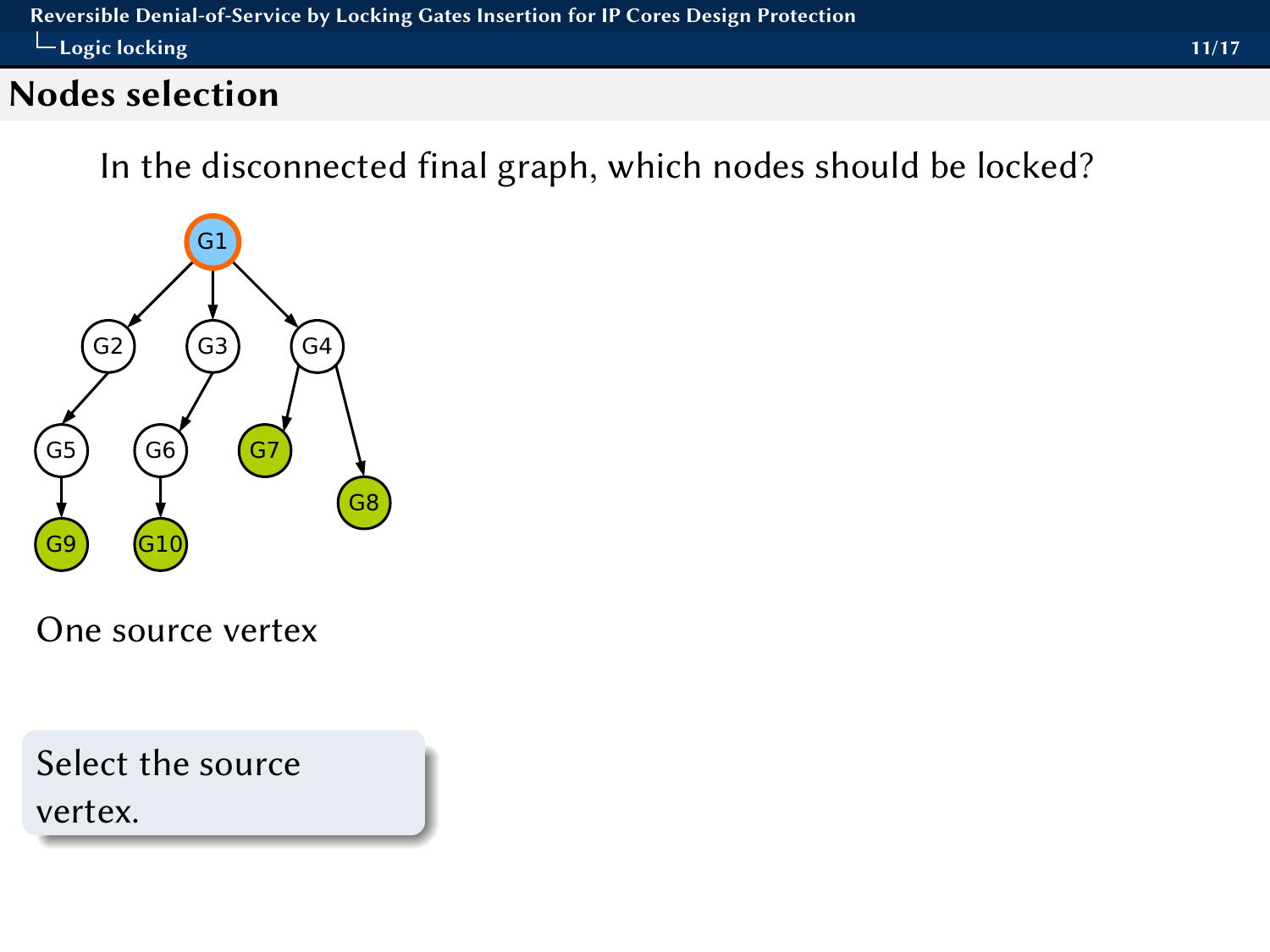## <span id="page-15-0"></span>Nodes selection

In the disconnected final graph, which nodes should be locked?



One source vertex

Select the source vertex.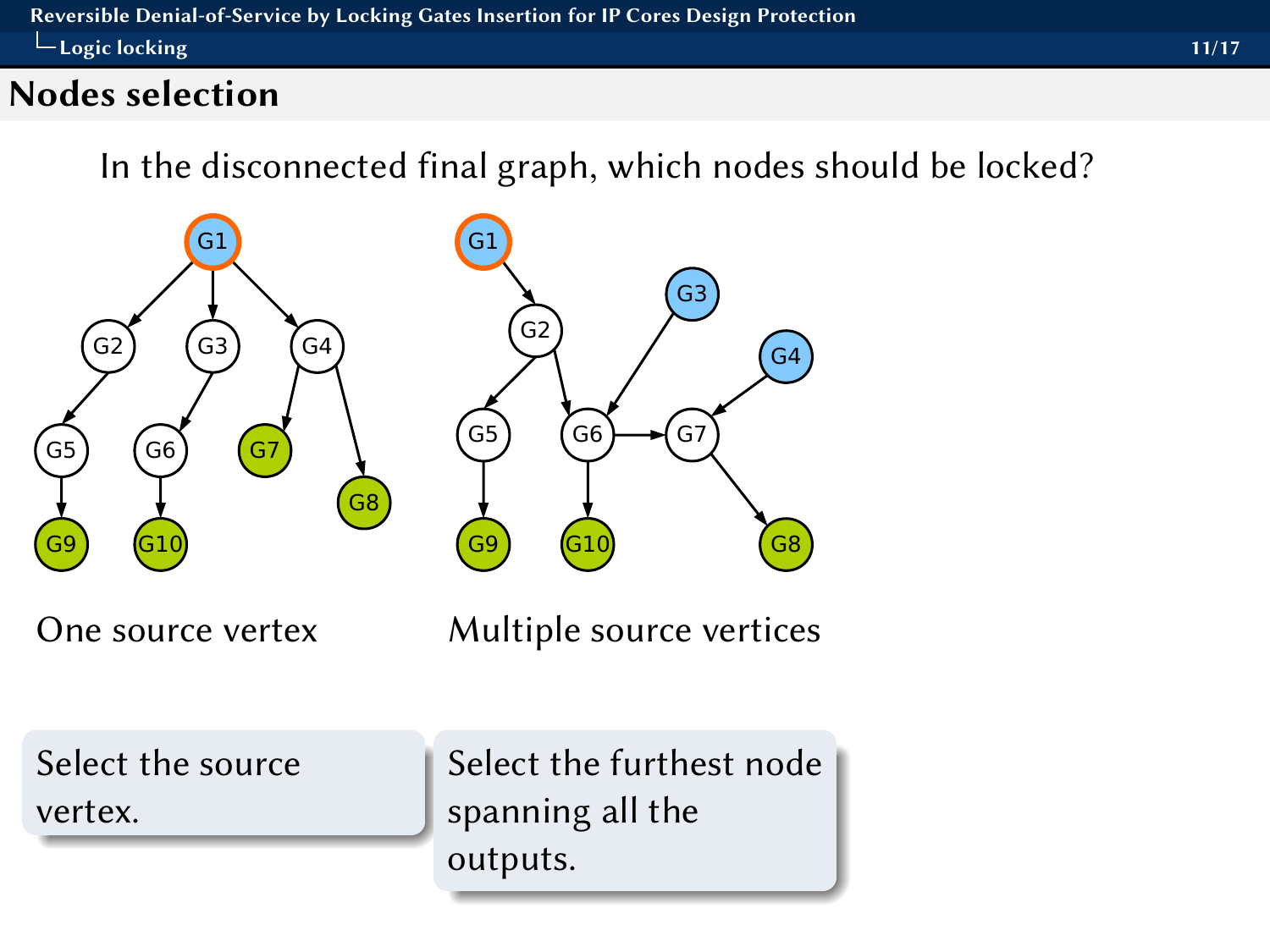## <span id="page-16-0"></span>Nodes selection

In the disconnected final graph, which nodes should be locked?

G2

G5) (G6

G9

G1



One source vertex Multiple source vertices

G7

G3

G8

G4

Select the source vertex.

Select the furthest node spanning all the outputs.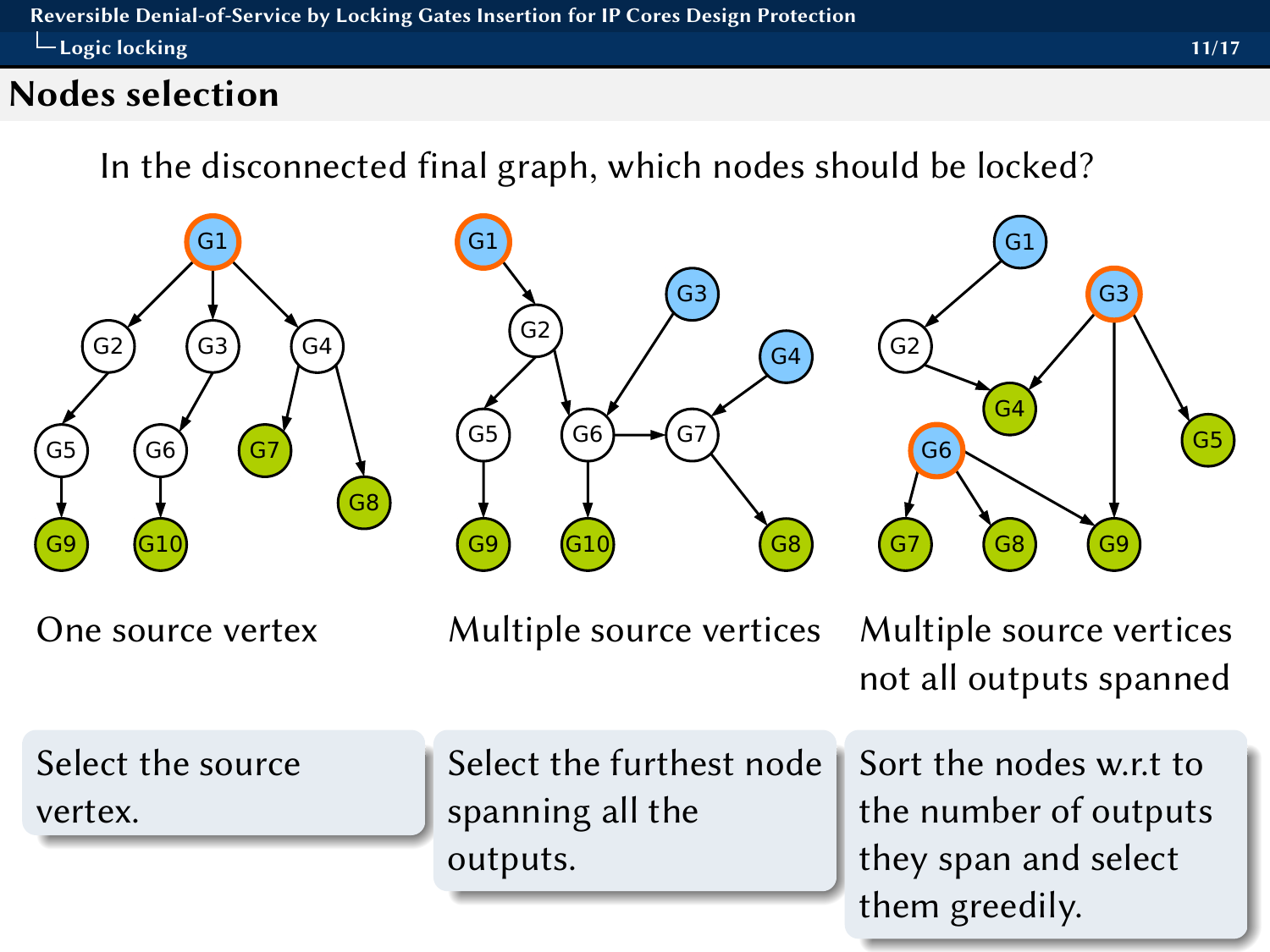#### <span id="page-17-0"></span>Nodes selection

In the disconnected final graph, which nodes should be locked?

G2

G5) (G6

G9

G1





One source vertex Multiple source vertices Multiple source vertices

G7

G3

G8

 $G4$ 

not all outputs spanned

G8) (G9

G3

G4

G1

G2

G6

Select the source vertex.

Select the furthest node spanning all the outputs.

Sort the nodes w.r.t to the number of outputs they span and select them greedily.

G5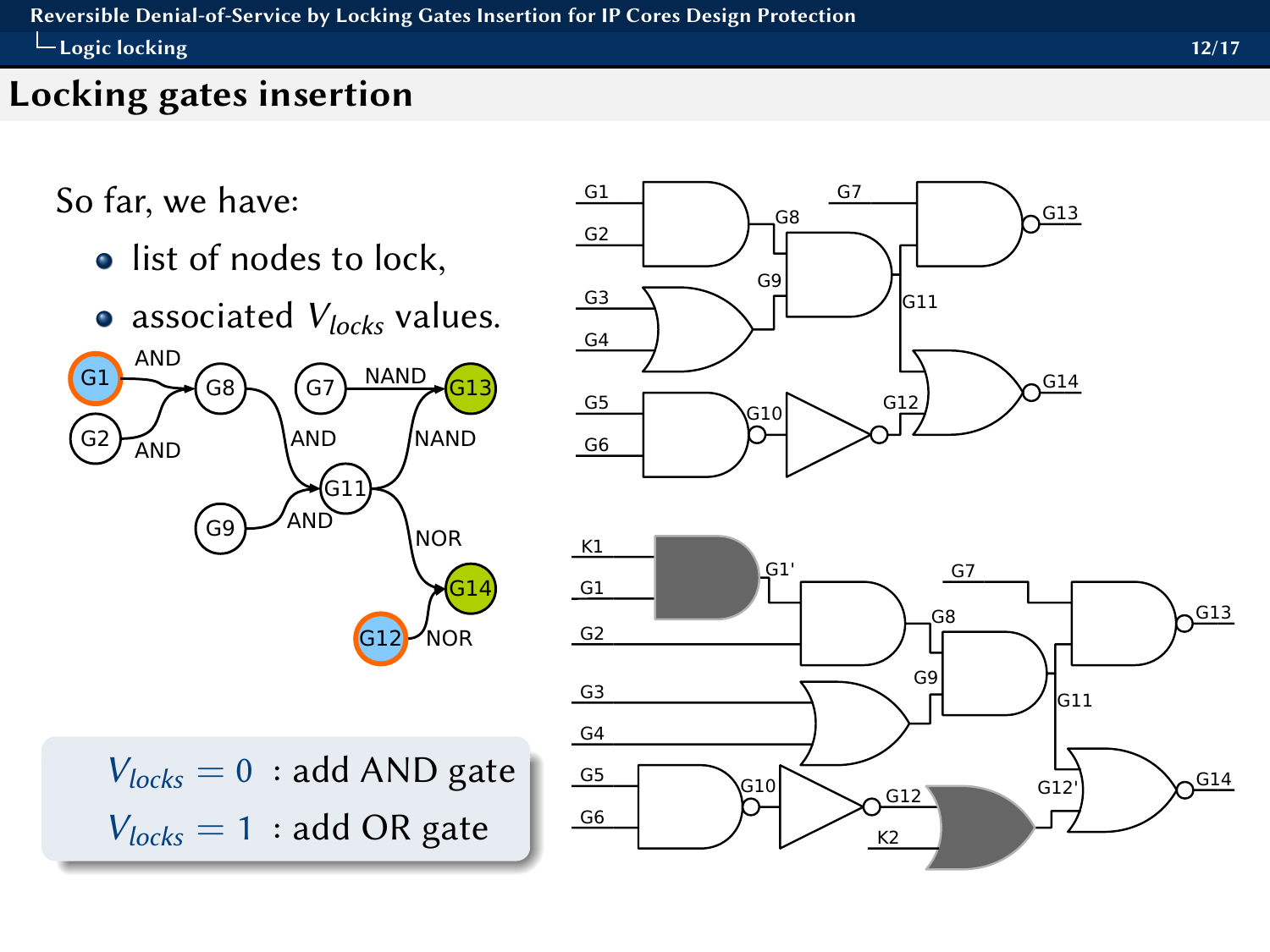#### <span id="page-18-0"></span>[Reversible Denial-of-Service by Locking Gates Insertion for IP Cores Design Protection](#page-0-0)  $L_{\text{Logic locking}}$ [Logic locking](#page-18-0) 12/17

## Locking gates insertion

So far, we have:

- list of nodes to lock,
- associated  $V_{locks}$  values.





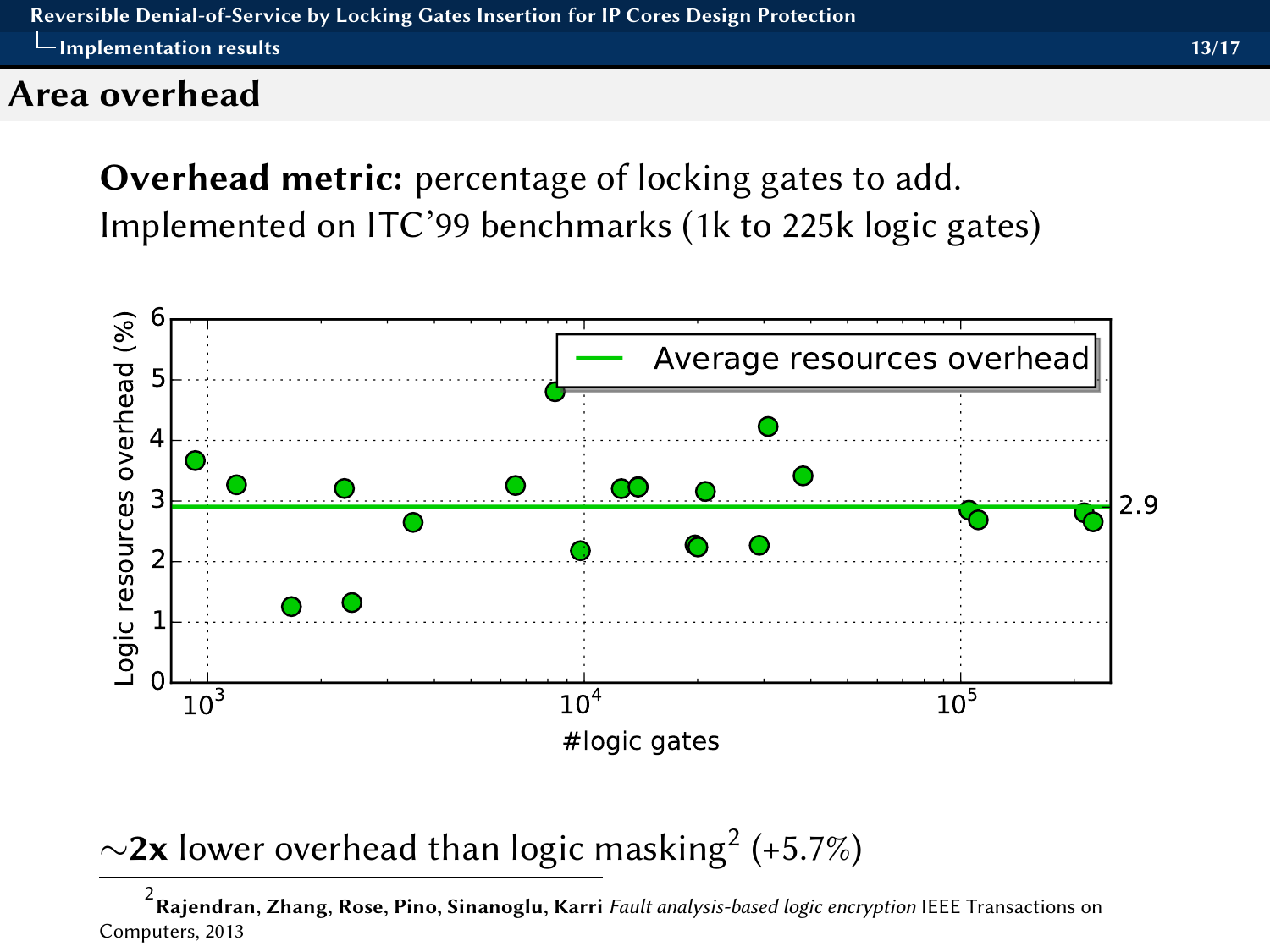#### <span id="page-19-0"></span>Area overhead

Overhead metric: percentage of locking gates to add. Implemented on ITC'99 benchmarks (1k to 225k logic gates)



 $\sim$ 2x lower overhead than logic masking $^2$  (+5.7%)

 $^{2}$ Rajendran, Zhang, Rose, Pino, Sinanoglu, Karri *Fault analysis-based logic encryption* IEEE Transactions on Computers, 2013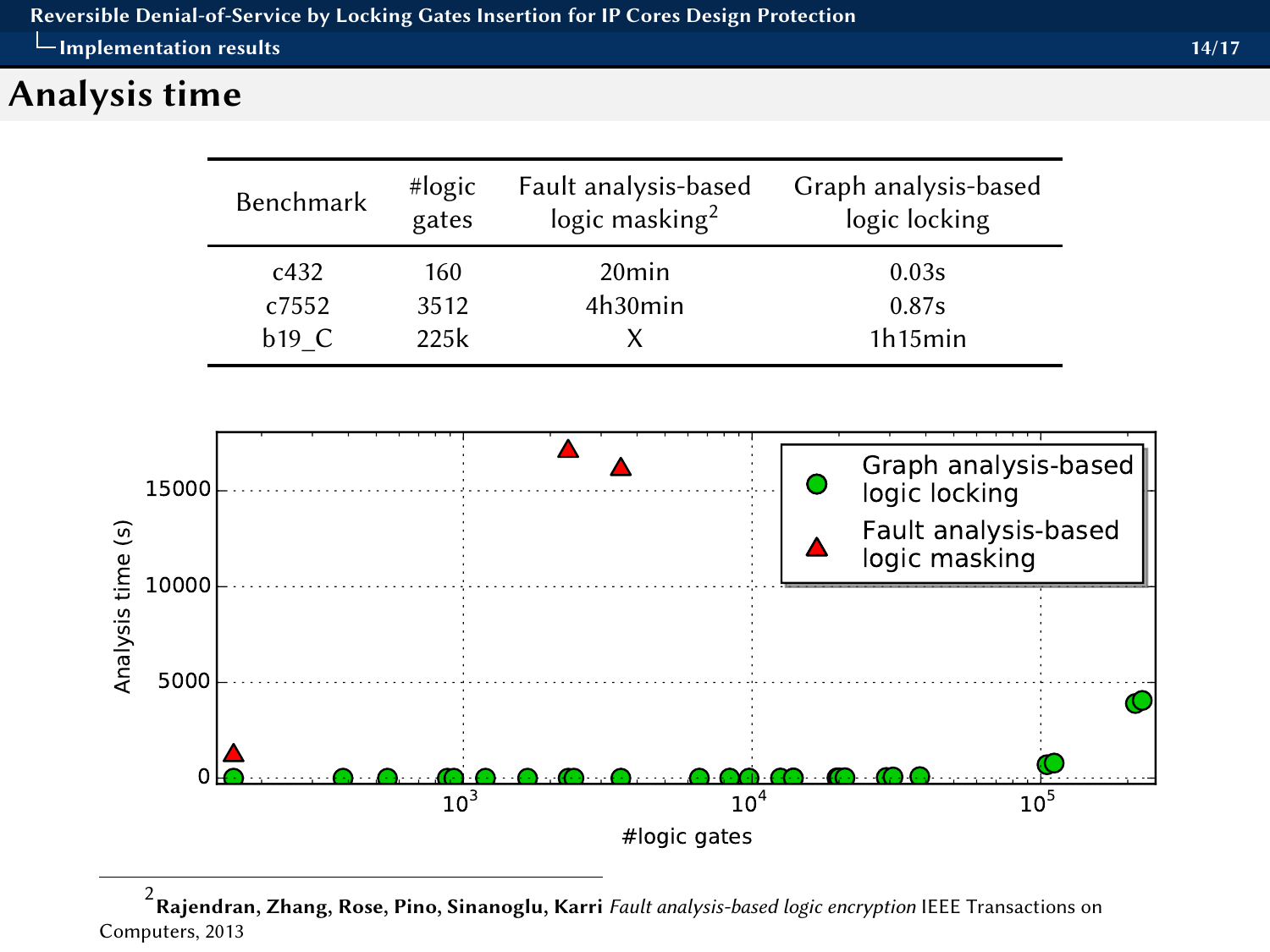## <span id="page-20-0"></span>Analysis time

| Benchmark | #logic<br>gates | Fault analysis-based<br>logic masking <sup>2</sup> | Graph analysis-based<br>logic locking |
|-----------|-----------------|----------------------------------------------------|---------------------------------------|
| c432      | 160             | 20 <sub>min</sub>                                  | 0.03s                                 |
| c7552     | 3512            | 4h30min                                            | 0.87s                                 |
| $b19$ C   | 225k            |                                                    | 1h15min                               |



 $^{2}$ Rajendran, Zhang, Rose, Pino, Sinanoglu, Karri *Fault analysis-based logic encryption* IEEE Transactions on Computers, 2013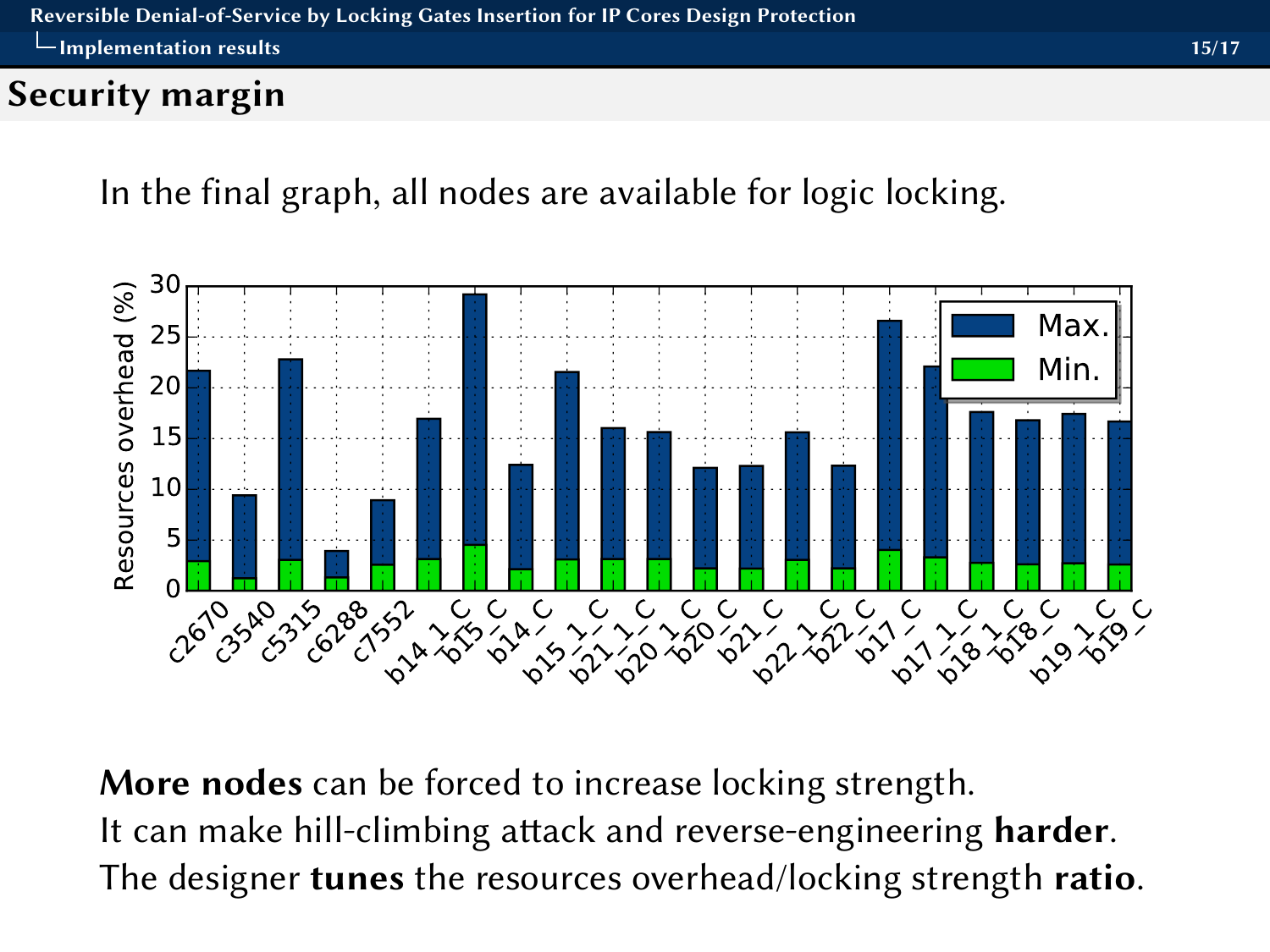## <span id="page-21-0"></span>Security margin

In the final graph, all nodes are available for logic locking.



More nodes can be forced to increase locking strength. It can make hill-climbing attack and reverse-engineering harder. The designer **tunes** the resources overhead/locking strength ratio.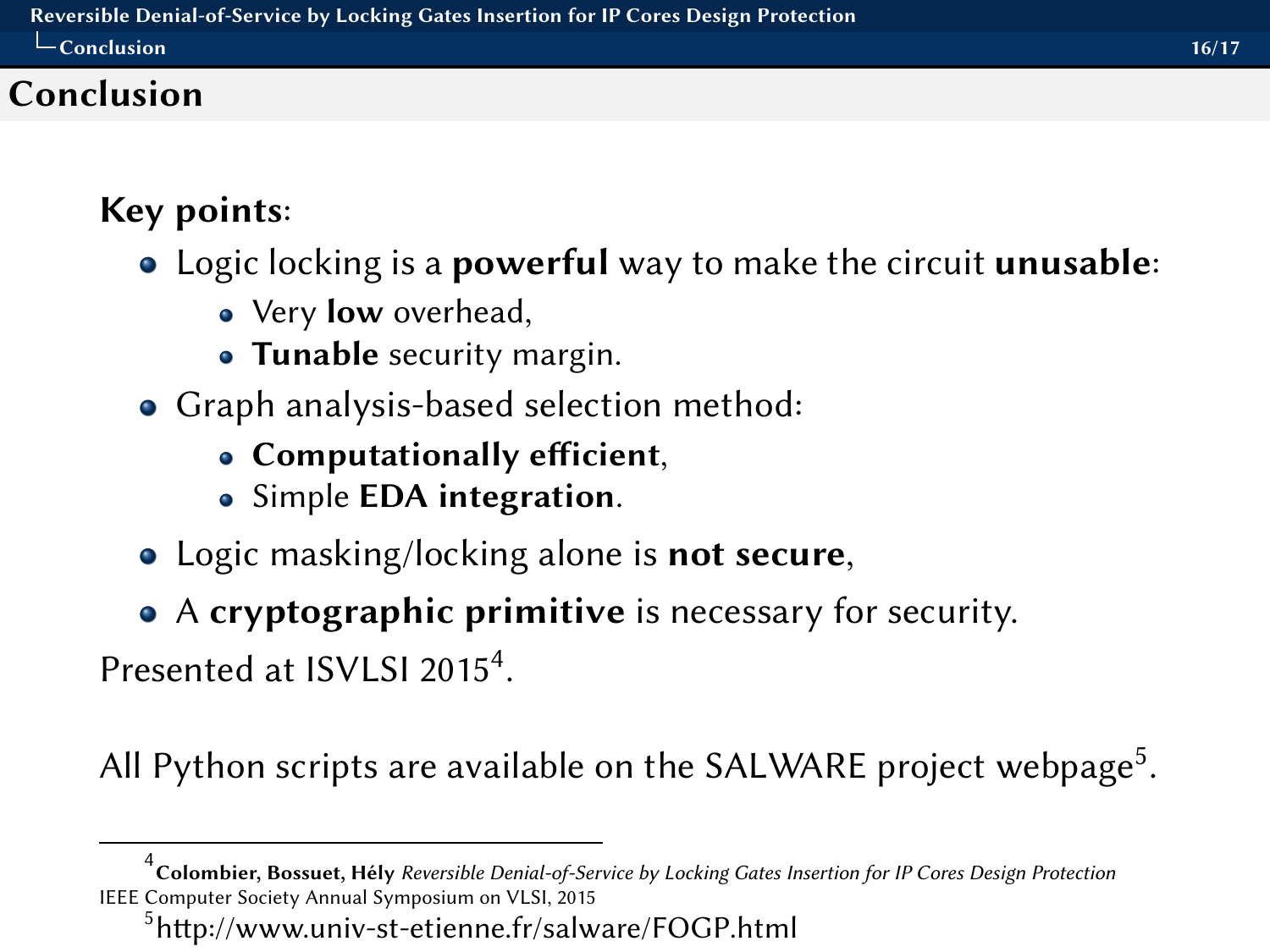## <span id="page-22-0"></span>Conclusion

# Key points:

- Logic locking is a **powerful** way to make the circuit **unusable**:
	- Very **low** overhead,
	- Tunable security margin.
- Graph analysis-based selection method:
	- $\bullet$  Computationally efficient,
	- Simple **EDA** integration.
- Logic masking/locking alone is **not secure**,
- A cryptographic primitive is necessary for security.

Presented at ISVLSI 2015<sup>4</sup>.

All Python scripts are available on the SALWARE project webpage<sup>5</sup>.

<sup>&</sup>lt;sup>4</sup><br>Colombier, Bossuet, Hély *Reversible Denial-of-Service by Locking Gates Insertion for IP Cores Design Protection* IEEE Computer Society Annual Symposium on VLSI, 2015

 $5$ http://www.univ-st-etienne.fr/salware/FOGP.html